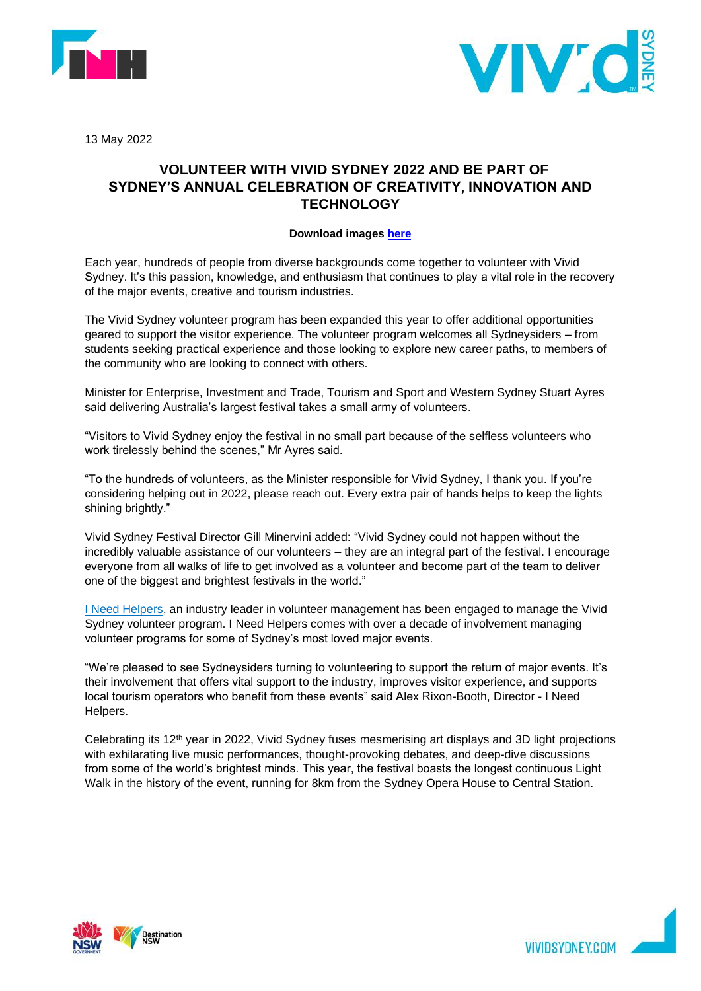



13 May 2022

## **VOLUNTEER WITH VIVID SYDNEY 2022 AND BE PART OF SYDNEY'S ANNUAL CELEBRATION OF CREATIVITY, INNOVATION AND TECHNOLOGY**

## **Download images [here](https://urldefense.com/v3/__https:/www.dropbox.com/scl/fo/qai44elzojyrc7r8yerjx/h?dl=0&rlkey=2aikbcv6r5q7dgri8f86a5qkc__;!!CN7PONKNpoI9!5CuM8lDJlV1ylSCiWQ5UH3RU6f3w6ncHDAjxWcVPE2t7dzAWtlqnXcLGFFGhkkzL85v3UqUCHG9XFgZKmk5j6OoWCcQ$)**

Each year, hundreds of people from diverse backgrounds come together to volunteer with Vivid Sydney. It's this passion, knowledge, and enthusiasm that continues to play a vital role in the recovery of the major events, creative and tourism industries.

The Vivid Sydney volunteer program has been expanded this year to offer additional opportunities geared to support the visitor experience. The volunteer program welcomes all Sydneysiders – from students seeking practical experience and those looking to explore new career paths, to members of the community who are looking to connect with others.

Minister for Enterprise, Investment and Trade, Tourism and Sport and Western Sydney Stuart Ayres said delivering Australia's largest festival takes a small army of volunteers.

"Visitors to Vivid Sydney enjoy the festival in no small part because of the selfless volunteers who work tirelessly behind the scenes," Mr Ayres said.

"To the hundreds of volunteers, as the Minister responsible for Vivid Sydney, I thank you. If you're considering helping out in 2022, please reach out. Every extra pair of hands helps to keep the lights shining brightly."

Vivid Sydney Festival Director Gill Minervini added: "Vivid Sydney could not happen without the incredibly valuable assistance of our volunteers – they are an integral part of the festival. I encourage everyone from all walks of life to get involved as a volunteer and become part of the team to deliver one of the biggest and brightest festivals in the world."

**[I Need Helpers,](https://ineedhelpers.com/) an industry leader in volunteer management has been engaged to manage the Vivid** Sydney volunteer program. I Need Helpers comes with over a decade of involvement managing volunteer programs for some of Sydney's most loved major events.

"We're pleased to see Sydneysiders turning to volunteering to support the return of major events. It's their involvement that offers vital support to the industry, improves visitor experience, and supports local tourism operators who benefit from these events" said Alex Rixon-Booth, Director - I Need Helpers.

Celebrating its 12<sup>th</sup> year in 2022, Vivid Sydney fuses mesmerising art displays and 3D light projections with exhilarating live music performances, thought-provoking debates, and deep-dive discussions from some of the world's brightest minds. This year, the festival boasts the longest continuous Light Walk in the history of the event, running for 8km from the Sydney Opera House to Central Station.